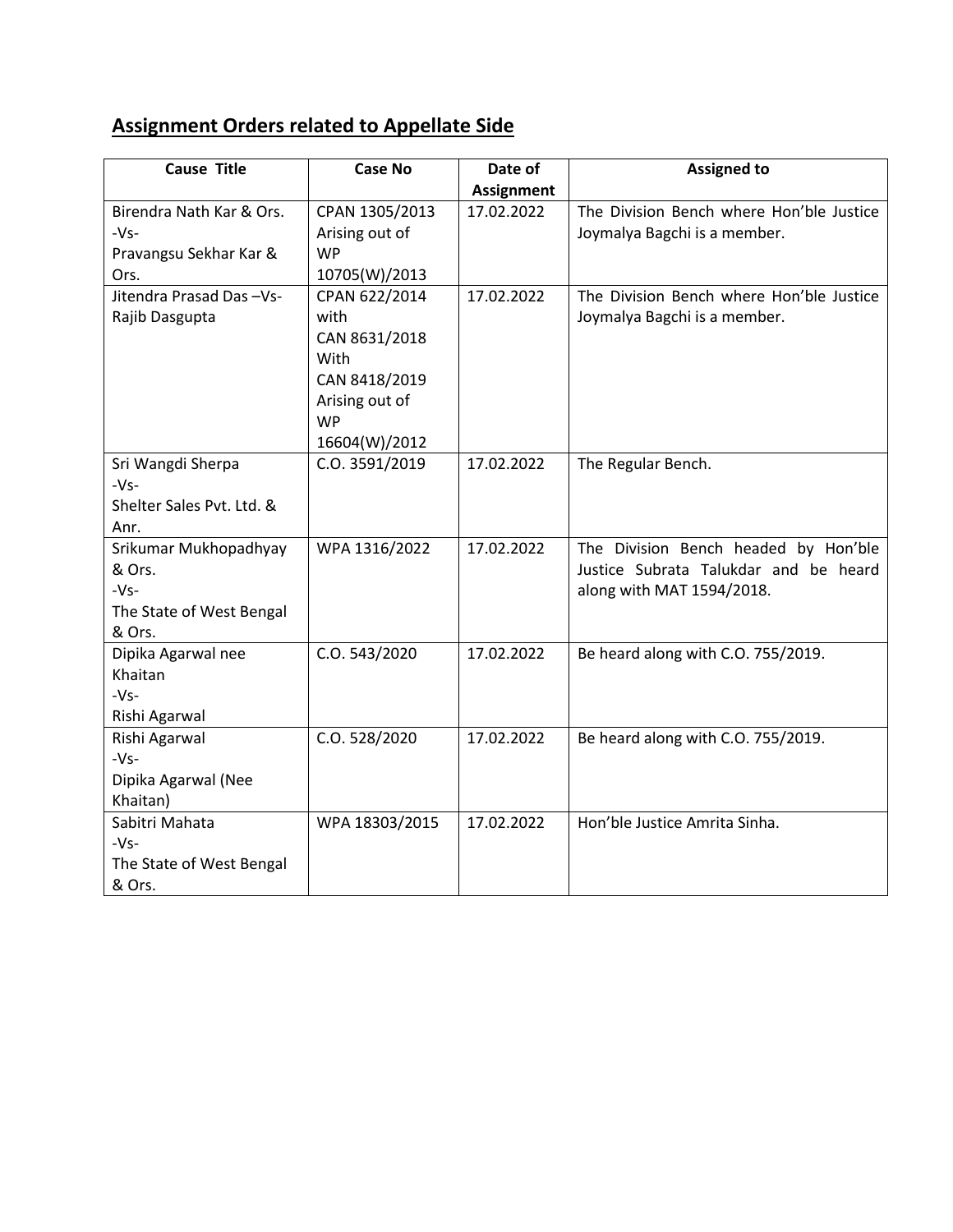## **Assignment Orders related to Appellate Side**

| <b>Cause Title</b>        | <b>Case No</b> | Date of           | <b>Assigned to</b>                       |
|---------------------------|----------------|-------------------|------------------------------------------|
|                           |                | <b>Assignment</b> |                                          |
| Birendra Nath Kar & Ors.  | CPAN 1305/2013 | 17.02.2022        | The Division Bench where Hon'ble Justice |
| $-Vs-$                    | Arising out of |                   | Joymalya Bagchi is a member.             |
| Pravangsu Sekhar Kar &    | <b>WP</b>      |                   |                                          |
| Ors.                      | 10705(W)/2013  |                   |                                          |
| Jitendra Prasad Das-Vs-   | CPAN 622/2014  | 17.02.2022        | The Division Bench where Hon'ble Justice |
| Rajib Dasgupta            | with           |                   | Joymalya Bagchi is a member.             |
|                           | CAN 8631/2018  |                   |                                          |
|                           | With           |                   |                                          |
|                           | CAN 8418/2019  |                   |                                          |
|                           | Arising out of |                   |                                          |
|                           | <b>WP</b>      |                   |                                          |
|                           | 16604(W)/2012  |                   |                                          |
| Sri Wangdi Sherpa         | C.O. 3591/2019 | 17.02.2022        | The Regular Bench.                       |
| $-Vs-$                    |                |                   |                                          |
| Shelter Sales Pvt. Ltd. & |                |                   |                                          |
| Anr.                      |                |                   |                                          |
| Srikumar Mukhopadhyay     | WPA 1316/2022  | 17.02.2022        | The Division Bench headed by Hon'ble     |
| & Ors.                    |                |                   | Justice Subrata Talukdar and be heard    |
| $-Vs-$                    |                |                   | along with MAT 1594/2018.                |
| The State of West Bengal  |                |                   |                                          |
| & Ors.                    |                |                   |                                          |
| Dipika Agarwal nee        | C.O. 543/2020  | 17.02.2022        | Be heard along with C.O. 755/2019.       |
| Khaitan                   |                |                   |                                          |
| $-Vs-$                    |                |                   |                                          |
| Rishi Agarwal             |                |                   |                                          |
| Rishi Agarwal             | C.O. 528/2020  | 17.02.2022        | Be heard along with C.O. 755/2019.       |
| $-Vs-$                    |                |                   |                                          |
| Dipika Agarwal (Nee       |                |                   |                                          |
| Khaitan)                  |                |                   |                                          |
| Sabitri Mahata            | WPA 18303/2015 | 17.02.2022        | Hon'ble Justice Amrita Sinha.            |
| $-Vs-$                    |                |                   |                                          |
| The State of West Bengal  |                |                   |                                          |
| & Ors.                    |                |                   |                                          |